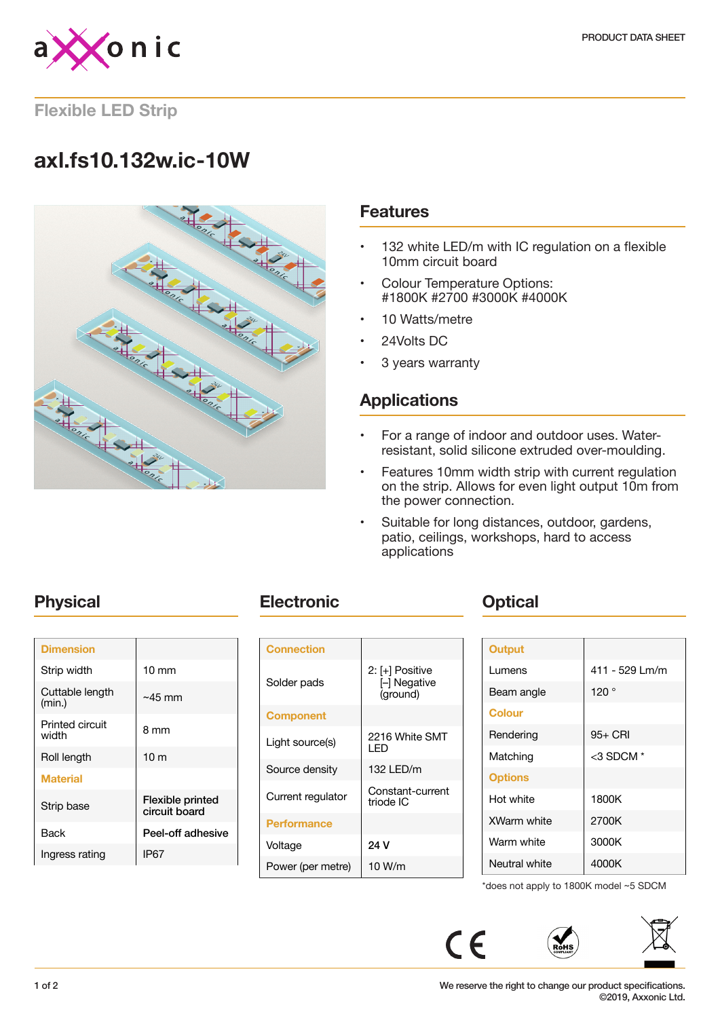

**Flexible LED Strip**

## **axl.fs10.132w.ic-10W**



### **Features**

- 132 white LED/m with IC regulation on a flexible 10mm circuit board
- Colour Temperature Options: #1800K #2700 #3000K #4000K
- 10 Watts/metre
- 24Volts DC
- 3 years warranty

## **Applications**

- For a range of indoor and outdoor uses. Waterresistant, solid silicone extruded over-moulding.
- Features 10mm width strip with current regulation on the strip. Allows for even light output 10m from the power connection.
- Suitable for long distances, outdoor, gardens, patio, ceilings, workshops, hard to access applications

| <b>Dimension</b>          |                                          |
|---------------------------|------------------------------------------|
| Strip width               | $10 \text{ mm}$                          |
| Cuttable length<br>(min.) | $~15 \text{ mm}$                         |
| Printed circuit<br>width  | 8 mm                                     |
| Roll length               | 10 <sub>m</sub>                          |
| <b>Material</b>           |                                          |
| Strip base                | <b>Flexible printed</b><br>circuit board |
| Back                      | Peel-off adhesive                        |
| Ingress rating            | IP67                                     |

## **Physical <b>Electronic Change Physical**

| <b>Connection</b>  |                                             |
|--------------------|---------------------------------------------|
| Solder pads        | 2: [+] Positive<br>[-] Negative<br>(ground) |
| <b>Component</b>   |                                             |
| Light source(s)    | 2216 White SMT<br>I FD                      |
| Source density     | 132 LED/m                                   |
| Current regulator  | Constant-current<br>triode IC               |
| <b>Performance</b> |                                             |
| Voltage            | 24 V                                        |
| Power (per metre)  | 10 W/m                                      |

| <b>Output</b>  |                |
|----------------|----------------|
| Lumens         | 411 - 529 Lm/m |
| Beam angle     | 120°           |
| <b>Colour</b>  |                |
| Rendering      | 95+ CRI        |
| Matching       | $<$ 3 SDCM $*$ |
| <b>Options</b> |                |
| Hot white      | 1800K          |
| XWarm white    | 2700K          |
| Warm white     | 3000K          |
| Neutral white  | 4000K          |

\*does not apply to 1800K model ~5 SDCM

 $C \in$